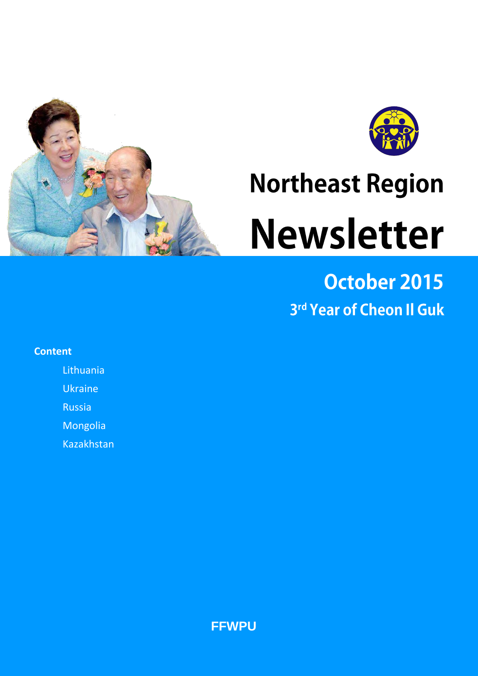



# **Northeast Region Newsletter**

# October 2015 3rd Year of Cheon II Guk

## **Content**

**Lithuania** 

Ukraine

Russia

Mongolia

Kazakhstan

**FFWPU**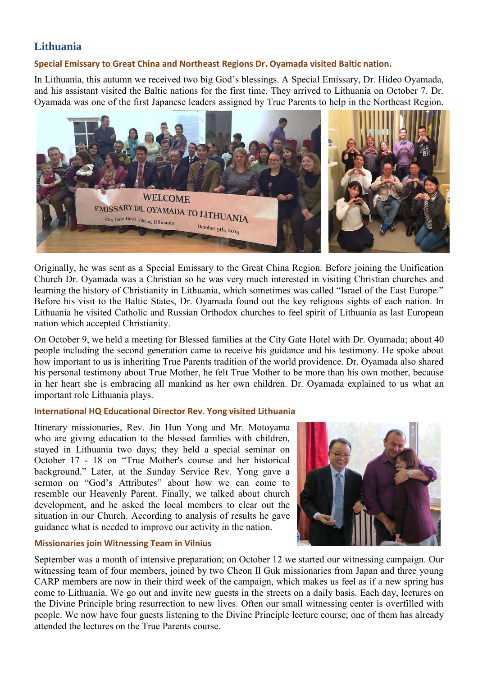# **Lithuania**

#### **Special Emissary to Great China and Northeast Regions Dr. Oyamada visited Baltic nation.**

In Lithuania, this autumn we received two big God's blessings. A Special Emissary, Dr. Hideo Oyamada, and his assistant visited the Baltic nations for the first time. They arrived to Lithuania on October 7. Dr. Oyamada was one of the first Japanese leaders assigned by True Parents to help in the Northeast Region.



Originally, he was sent as a Special Emissary to the Great China Region. Before joining the Unification Church Dr. Oyamada was a Christian so he was very much interested in visiting Christian churches and learning the history of Christianity in Lithuania, which sometimes was called "Israel of the East Europe." Before his visit to the Baltic States, Dr. Oyamada found out the key religious sights of each nation. In Lithuania he visited Catholic and Russian Orthodox churches to feel spirit of Lithuania as last European nation which accepted Christianity.

On October 9, we held a meeting for Blessed families at the City Gate Hotel with Dr. Oyamada; about 40 people including the second generation came to receive his guidance and his testimony. He spoke about how important to us is inheriting True Parents tradition of the world providence. Dr. Oyamada also shared his personal testimony about True Mother, he felt True Mother to be more than his own mother, because in her heart she is embracing all mankind as her own children. Dr. Oyamada explained to us what an important role Lithuania plays.

#### **International HQ Educational Director Rev. Yong visited Lithuania**

Itinerary missionaries, Rev. Jin Hun Yong and Mr. Motoyama who are giving education to the blessed families with children, stayed in Lithuania two days; they held a special seminar on October 17 - 18 on "True Mother's course and her historical background." Later, at the Sunday Service Rev. Yong gave a sermon on "God's Attributes" about how we can come to resemble our Heavenly Parent. Finally, we talked about church development, and he asked the local members to clear out the situation in our Church. According to analysis of results he gave guidance what is needed to improve our activity in the nation.

#### **Missionaries join Witnessing Team in Vilnius**



September was a month of intensive preparation; on October 12 we started our witnessing campaign. Our witnessing team of four members, joined by two Cheon Il Guk missionaries from Japan and three young CARP members are now in their third week of the campaign, which makes us feel as if a new spring has come to Lithuania. We go out and invite new guests in the streets on a daily basis. Each day, lectures on the Divine Principle bring resurrection to new lives. Often our small witnessing center is overfilled with people. We now have four guests listening to the Divine Principle lecture course; one of them has already attended the lectures on the True Parents course.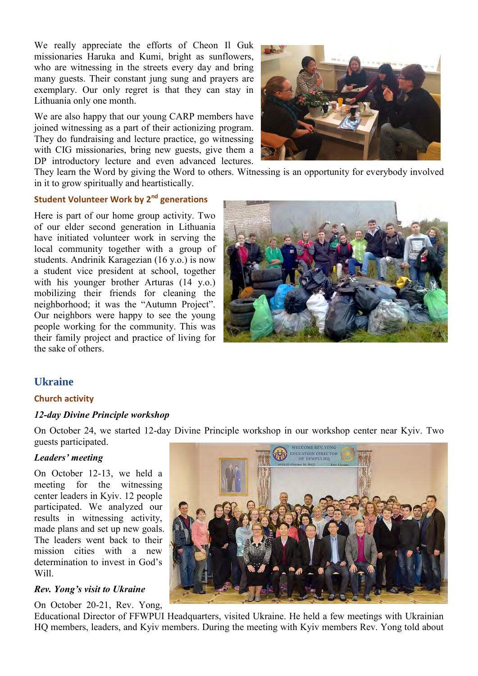We really appreciate the efforts of Cheon Il Guk missionaries Haruka and Kumi, bright as sunflowers, who are witnessing in the streets every day and bring many guests. Their constant jung sung and prayers are exemplary. Our only regret is that they can stay in Lithuania only one month.

We are also happy that our young CARP members have joined witnessing as a part of their actionizing program. They do fundraising and lecture practice, go witnessing with CIG missionaries, bring new guests, give them a DP introductory lecture and even advanced lectures.



They learn the Word by giving the Word to others. Witnessing is an opportunity for everybody involved in it to grow spiritually and heartistically.

## **Student Volunteer Work by 2nd generations**

Here is part of our home group activity. Two of our elder second generation in Lithuania have initiated volunteer work in serving the local community together with a group of students. Andrinik Karagezian (16 y.o.) is now a student vice president at school, together with his younger brother Arturas (14 y.o.) mobilizing their friends for cleaning the neighborhood; it was the "Autumn Project". Our neighbors were happy to see the young people working for the community. This was their family project and practice of living for the sake of others.



#### **Ukraine**

#### **Church activity**

#### *12-day Divine Principle workshop*

On October 24, we started 12-day Divine Principle workshop in our workshop center near Kyiv. Two guests participated.

#### *Leaders' meeting*

On October 12-13, we held a meeting for the witnessing center leaders in Kyiv. 12 people participated. We analyzed our results in witnessing activity, made plans and set up new goals. The leaders went back to their mission cities with a new determination to invest in God's Will.

#### *Rev. Yong's visit to Ukraine*

On October 20-21, Rev. Yong,



Educational Director of FFWPUI Headquarters, visited Ukraine. He held a few meetings with Ukrainian HQ members, leaders, and Kyiv members. During the meeting with Kyiv members Rev. Yong told about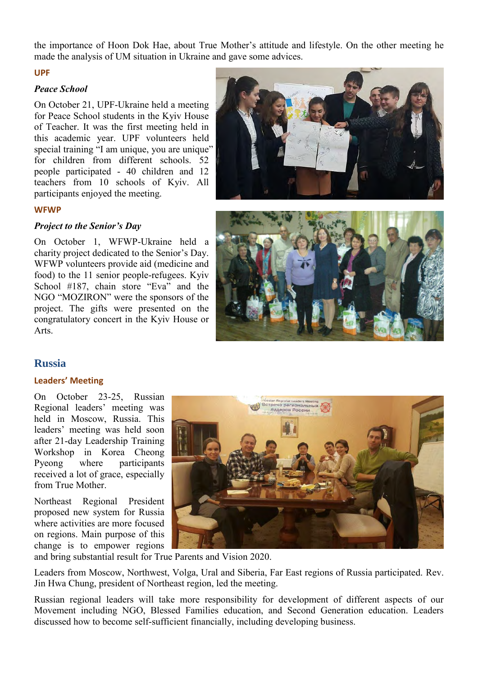the importance of Hoon Dok Hae, about True Mother's attitude and lifestyle. On the other meeting he made the analysis of UM situation in Ukraine and gave some advices.

#### **UPF**

#### *Peace School*

On October 21, UPF-Ukraine held a meeting for Peace School students in the Kyiv House of Teacher. It was the first meeting held in this academic year. UPF volunteers held special training "I am unique, you are unique" for children from different schools. 52 people participated - 40 children and 12 teachers from 10 schools of Kyiv. All participants enjoyed the meeting.



#### **WFWP**

#### *Project to the Senior's Day*

On October 1, WFWP-Ukraine held a charity project dedicated to the Senior's Day. WFWP volunteers provide aid (medicine and food) to the 11 senior people-refugees. Kyiv School #187, chain store "Eva" and the NGO "MOZIRON" were the sponsors of the project. The gifts were presented on the congratulatory concert in the Kyiv House or Arts.



#### **Russia**

#### **Leaders' Meeting**

On October 23-25, Russian Regional leaders' meeting was held in Moscow, Russia. This leaders' meeting was held soon after 21-day Leadership Training Workshop in Korea Cheong Pyeong where participants received a lot of grace, especially from True Mother.

Northeast Regional President proposed new system for Russia where activities are more focused on regions. Main purpose of this change is to empower regions



and bring substantial result for True Parents and Vision 2020.

Leaders from Moscow, Northwest, Volga, Ural and Siberia, Far East regions of Russia participated. Rev. Jin Hwa Chung, president of Northeast region, led the meeting.

Russian regional leaders will take more responsibility for development of different aspects of our Movement including NGO, Blessed Families education, and Second Generation education. Leaders discussed how to become self-sufficient financially, including developing business.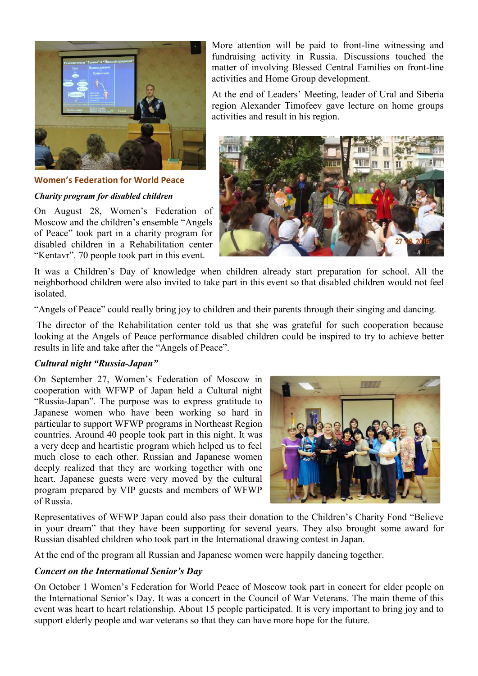

**Women's Federation for World Peace**

#### *Charity program for disabled children*

On August 28, Women's Federation of Moscow and the children's ensemble "Angels of Peace" took part in a charity program for disabled children in a Rehabilitation center "Kentavr". 70 people took part in this event.

More attention will be paid to front-line witnessing and fundraising activity in Russia. Discussions touched the matter of involving Blessed Central Families on front-line activities and Home Group development.

At the end of Leaders' Meeting, leader of Ural and Siberia region Alexander Timofeev gave lecture on home groups activities and result in his region.



It was a Children's Day of knowledge when children already start preparation for school. All the neighborhood children were also invited to take part in this event so that disabled children would not feel isolated.

"Angels of Peace" could really bring joy to children and their parents through their singing and dancing.

The director of the Rehabilitation center told us that she was grateful for such cooperation because looking at the Angels of Peace performance disabled children could be inspired to try to achieve better results in life and take after the "Angels of Peace".

#### *Cultural night "Russia-Japan"*

On September 27, Women's Federation of Moscow in cooperation with WFWP of Japan held a Cultural night "Russia-Japan". The purpose was to express gratitude to Japanese women who have been working so hard in particular to support WFWP programs in Northeast Region countries. Around 40 people took part in this night. It was a very deep and heartistic program which helped us to feel much close to each other. Russian and Japanese women deeply realized that they are working together with one heart. Japanese guests were very moved by the cultural program prepared by VIP guests and members of WFWP of Russia.



Representatives of WFWP Japan could also pass their donation to the Children's Charity Fond "Believe in your dream" that they have been supporting for several years. They also brought some award for Russian disabled children who took part in the International drawing contest in Japan.

At the end of the program all Russian and Japanese women were happily dancing together.

#### *Concert on the International Senior's Day*

On October 1 Women's Federation for World Peace of Moscow took part in concert for elder people on the International Senior's Day. It was a concert in the Council of War Veterans. The main theme of this event was heart to heart relationship. About 15 people participated. It is very important to bring joy and to support elderly people and war veterans so that they can have more hope for the future.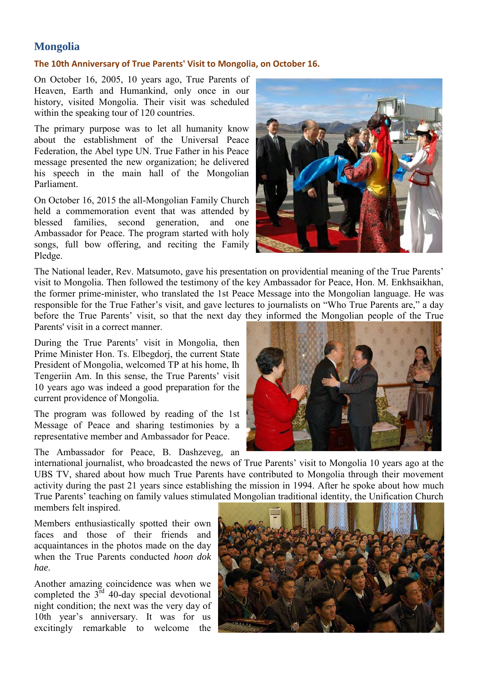# **Mongolia**

#### **The 10th Anniversary of True Parents' Visit to Mongolia, on October 16.**

On October 16, 2005, 10 years ago, True Parents of Heaven, Earth and Humankind, only once in our history, visited Mongolia. Their visit was scheduled within the speaking tour of 120 countries.

The primary purpose was to let all humanity know about the establishment of the Universal Peace Federation, the Abel type UN. True Father in his Peace message presented the new organization; he delivered his speech in the main hall of the Mongolian Parliament.

On October 16, 2015 the all-Mongolian Family Church held a commemoration event that was attended by blessed families, second generation, and one Ambassador for Peace. The program started with holy songs, full bow offering, and reciting the Family Pledge.



The National leader, Rev. Matsumoto, gave his presentation on providential meaning of the True Parents' visit to Mongolia. Then followed the testimony of the key Ambassador for Peace, Hon. M. Enkhsaikhan, the former prime-minister, who translated the 1st Peace Message into the Mongolian language. He was responsible for the True Father's visit, and gave lectures to journalists on "Who True Parents are," a day before the True Parents' visit, so that the next day they informed the Mongolian people of the True Parents' visit in a correct manner.

During the True Parents' visit in Mongolia, then Prime Minister Hon. Ts. Elbegdorj, the current State President of Mongolia, welcomed TP at his home, Ih Tengeriin Am. In this sense, the True Parents' visit 10 years ago was indeed a good preparation for the current providence of Mongolia.

The program was followed by reading of the 1st Message of Peace and sharing testimonies by a representative member and Ambassador for Peace.

The Ambassador for Peace, B. Dashzeveg, an

international journalist, who broadcasted the news of True Parents' visit to Mongolia 10 years ago at the UBS TV, shared about how much True Parents have contributed to Mongolia through their movement activity during the past 21 years since establishing the mission in 1994. After he spoke about how much True Parents' teaching on family values stimulated Mongolian traditional identity, the Unification Church members felt inspired.

Members enthusiastically spotted their own faces and those of their friends and acquaintances in the photos made on the day when the True Parents conducted *hoon dok hae*.

Another amazing coincidence was when we completed the  $3<sup>rd</sup>$  40-day special devotional night condition; the next was the very day of 10th year's anniversary. It was for us excitingly remarkable to welcome the

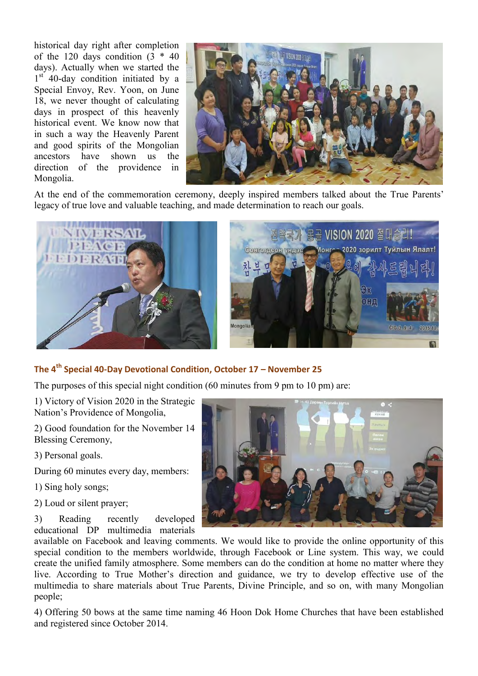historical day right after completion of the 120 days condition  $(3 * 40)$ days). Actually when we started the 1<sup>st</sup> 40-day condition initiated by a Special Envoy, Rev. Yoon, on June 18, we never thought of calculating days in prospect of this heavenly historical event. We know now that in such a way the Heavenly Parent and good spirits of the Mongolian ancestors have shown us the direction of the providence in Mongolia.



At the end of the commemoration ceremony, deeply inspired members talked about the True Parents' legacy of true love and valuable teaching, and made determination to reach our goals.





#### **The 4th Special 40-Day Devotional Condition, October 17 – November 25**

The purposes of this special night condition (60 minutes from 9 pm to 10 pm) are:

1) Victory of Vision 2020 in the Strategic Nation's Providence of Mongolia,

2) Good foundation for the November 14 Blessing Ceremony,

3) Personal goals.

During 60 minutes every day, members:

1) Sing holy songs;

2) Loud or silent prayer;

3) Reading recently developed educational DP multimedia materials



available on Facebook and leaving comments. We would like to provide the online opportunity of this special condition to the members worldwide, through Facebook or Line system. This way, we could create the unified family atmosphere. Some members can do the condition at home no matter where they live. According to True Mother's direction and guidance, we try to develop effective use of the multimedia to share materials about True Parents, Divine Principle, and so on, with many Mongolian people;

4) Offering 50 bows at the same time naming 46 Hoon Dok Home Churches that have been established and registered since October 2014.